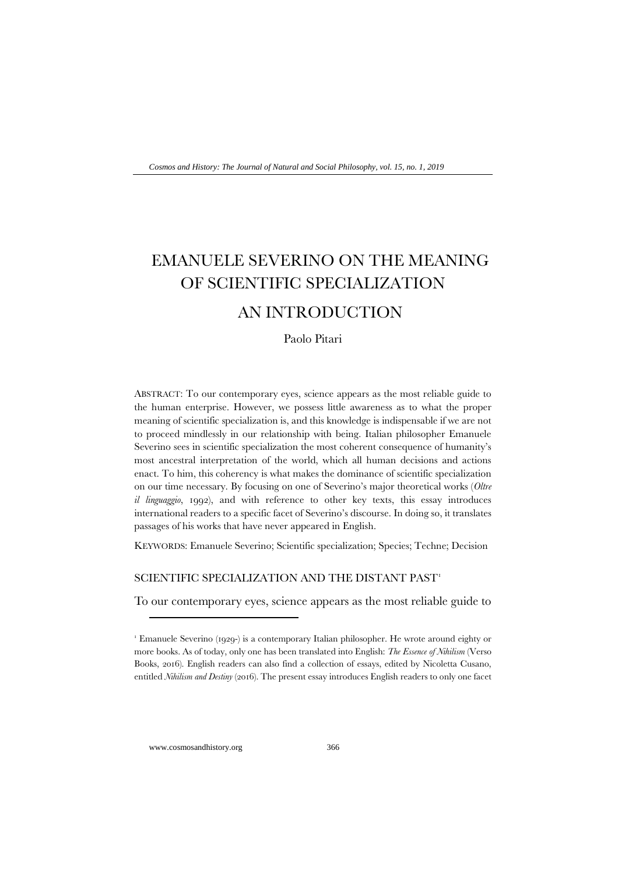# EMANUELE SEVERINO ON THE MEANING OF SCIENTIFIC SPECIALIZATION

# AN INTRODUCTION

Paolo Pitari

ABSTRACT: To our contemporary eyes, science appears as the most reliable guide to the human enterprise. However, we possess little awareness as to what the proper meaning of scientific specialization is, and this knowledge is indispensable if we are not to proceed mindlessly in our relationship with being. Italian philosopher Emanuele Severino sees in scientific specialization the most coherent consequence of humanity's most ancestral interpretation of the world, which all human decisions and actions enact. To him, this coherency is what makes the dominance of scientific specialization on our time necessary. By focusing on one of Severino's major theoretical works (*Oltre il linguaggio*, 1992), and with reference to other key texts, this essay introduces international readers to a specific facet of Severino's discourse. In doing so, it translates passages of his works that have never appeared in English.

KEYWORDS: Emanuele Severino; Scientific specialization; Species; Techne; Decision

## SCIENTIFIC SPECIALIZATION AND THE DISTANT PAST<sup>[1](#page-0-0)</sup>

To our contemporary eyes, science appears as the most reliable guide to

www.cosmosandhistory.org 366

<span id="page-0-0"></span><sup>1</sup> Emanuele Severino (1929-) is a contemporary Italian philosopher. He wrote around eighty or more books. As of today, only one has been translated into English: *The Essence of Nihilism* (Verso Books, 2016). English readers can also find a collection of essays, edited by Nicoletta Cusano, entitled *Nihilism and Destiny* (2016). The present essay introduces English readers to only one facet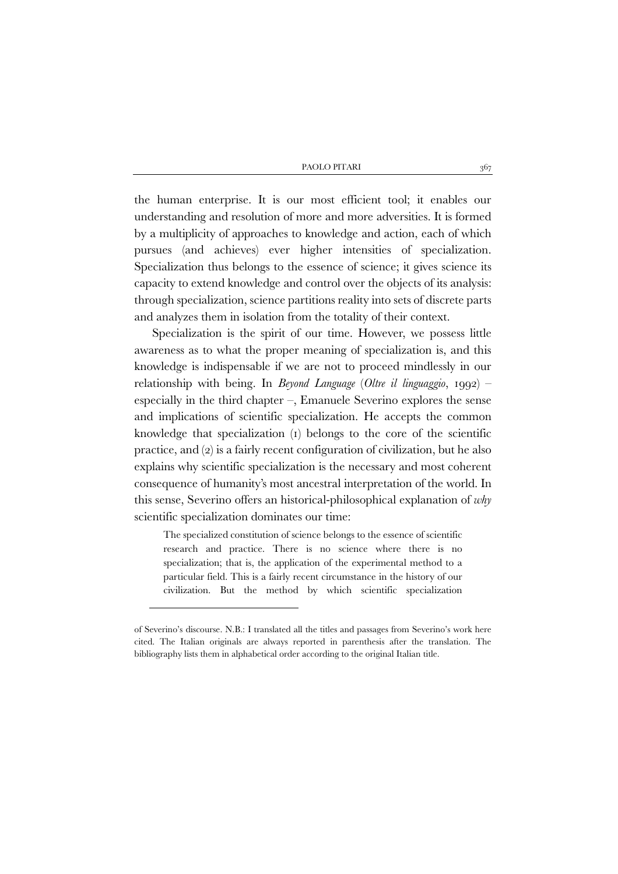the human enterprise. It is our most efficient tool; it enables our understanding and resolution of more and more adversities. It is formed by a multiplicity of approaches to knowledge and action, each of which pursues (and achieves) ever higher intensities of specialization. Specialization thus belongs to the essence of science; it gives science its capacity to extend knowledge and control over the objects of its analysis: through specialization, science partitions reality into sets of discrete parts and analyzes them in isolation from the totality of their context.

Specialization is the spirit of our time. However, we possess little awareness as to what the proper meaning of specialization is, and this knowledge is indispensable if we are not to proceed mindlessly in our relationship with being. In *Beyond Language* (*Oltre il linguaggio*, 1992) – especially in the third chapter –, Emanuele Severino explores the sense and implications of scientific specialization. He accepts the common knowledge that specialization (1) belongs to the core of the scientific practice, and (2) is a fairly recent configuration of civilization, but he also explains why scientific specialization is the necessary and most coherent consequence of humanity's most ancestral interpretation of the world. In this sense, Severino offers an historical-philosophical explanation of *why* scientific specialization dominates our time:

The specialized constitution of science belongs to the essence of scientific research and practice. There is no science where there is no specialization; that is, the application of the experimental method to a particular field. This is a fairly recent circumstance in the history of our civilization. But the method by which scientific specialization

of Severino's discourse. N.B.: I translated all the titles and passages from Severino's work here cited. The Italian originals are always reported in parenthesis after the translation. The bibliography lists them in alphabetical order according to the original Italian title.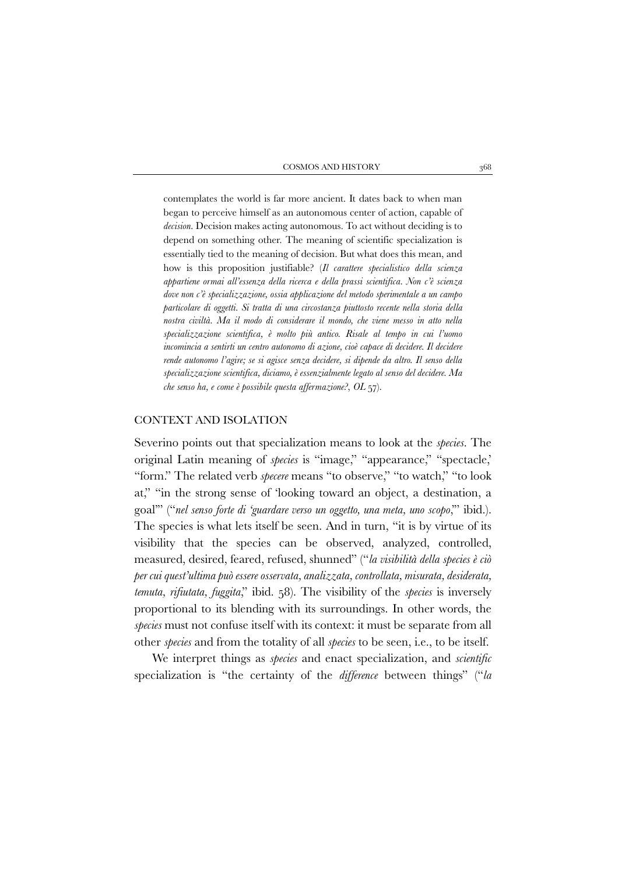contemplates the world is far more ancient. It dates back to when man began to perceive himself as an autonomous center of action, capable of *decision*. Decision makes acting autonomous. To act without deciding is to depend on something other. The meaning of scientific specialization is essentially tied to the meaning of decision. But what does this mean, and how is this proposition justifiable? (*Il carattere specialistico della scienza appartiene ormai all'essenza della ricerca e della prassi scientifica. Non c'è scienza dove non c'è specializzazione, ossia applicazione del metodo sperimentale a un campo particolare di oggetti. Si tratta di una circostanza piuttosto recente nella storia della nostra civiltà. Ma il modo di considerare il mondo, che viene messo in atto nella specializzazione scientifica, è molto più antico. Risale al tempo in cui l'uomo incomincia a sentirti un centro autonomo di azione, cioè capace di decidere. Il decidere rende autonomo l'agire; se si agisce senza decidere, si dipende da altro. Il senso della specializzazione scientifica, diciamo, è essenzialmente legato al senso del decidere. Ma che senso ha, e come è possibile questa affermazione?*, *OL* 57).

#### CONTEXT AND ISOLATION

Severino points out that specialization means to look at the *species*. The original Latin meaning of *species* is "image," "appearance," "spectacle,' "form." The related verb *specere* means "to observe," "to watch," "to look at," "in the strong sense of 'looking toward an object, a destination, a goal'" ("*nel senso forte di 'guardare verso un oggetto, una meta, uno scopo*,'" ibid.). The species is what lets itself be seen. And in turn, "it is by virtue of its visibility that the species can be observed, analyzed, controlled, measured, desired, feared, refused, shunned" ("*la visibilità della species è ciò per cui quest'ultima può essere osservata, analizzata, controllata, misurata, desiderata, temuta, rifiutata, fuggita*," ibid. 58). The visibility of the *species* is inversely proportional to its blending with its surroundings. In other words, the *species* must not confuse itself with its context: it must be separate from all other *species* and from the totality of all *species* to be seen, i.e., to be itself.

We interpret things as *species* and enact specialization, and *scientific* specialization is "the certainty of the *difference* between things" ("*la*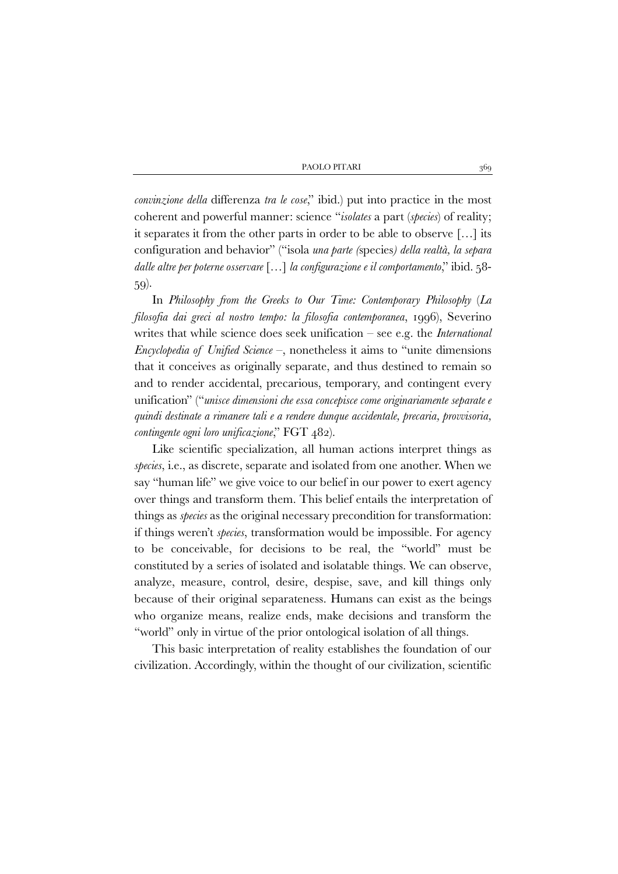*convinzione della* differenza *tra le cose*," ibid.) put into practice in the most coherent and powerful manner: science "*isolates* a part (*species*) of reality; it separates it from the other parts in order to be able to observe […] its configuration and behavior" ("isola *una parte (*species*) della realtà, la separa dalle altre per poterne osservare* […] *la configurazione e il comportamento*," ibid. 58- 59).

In *Philosophy from the Greeks to Our Time: Contemporary Philosophy* (*La filosofia dai greci al nostro tempo: la filosofia contemporanea*, 1996), Severino writes that while science does seek unification – see e.g. the *International Encyclopedia of Unified Science* –, nonetheless it aims to "unite dimensions that it conceives as originally separate, and thus destined to remain so and to render accidental, precarious, temporary, and contingent every unification" ("*unisce dimensioni che essa concepisce come originariamente separate e quindi destinate a rimanere tali e a rendere dunque accidentale, precaria, provvisoria, contingente ogni loro unificazione*," FGT 482).

Like scientific specialization, all human actions interpret things as *species*, i.e., as discrete, separate and isolated from one another. When we say "human life" we give voice to our belief in our power to exert agency over things and transform them. This belief entails the interpretation of things as *species* as the original necessary precondition for transformation: if things weren't *species*, transformation would be impossible. For agency to be conceivable, for decisions to be real, the "world" must be constituted by a series of isolated and isolatable things. We can observe, analyze, measure, control, desire, despise, save, and kill things only because of their original separateness. Humans can exist as the beings who organize means, realize ends, make decisions and transform the "world" only in virtue of the prior ontological isolation of all things.

This basic interpretation of reality establishes the foundation of our civilization. Accordingly, within the thought of our civilization, scientific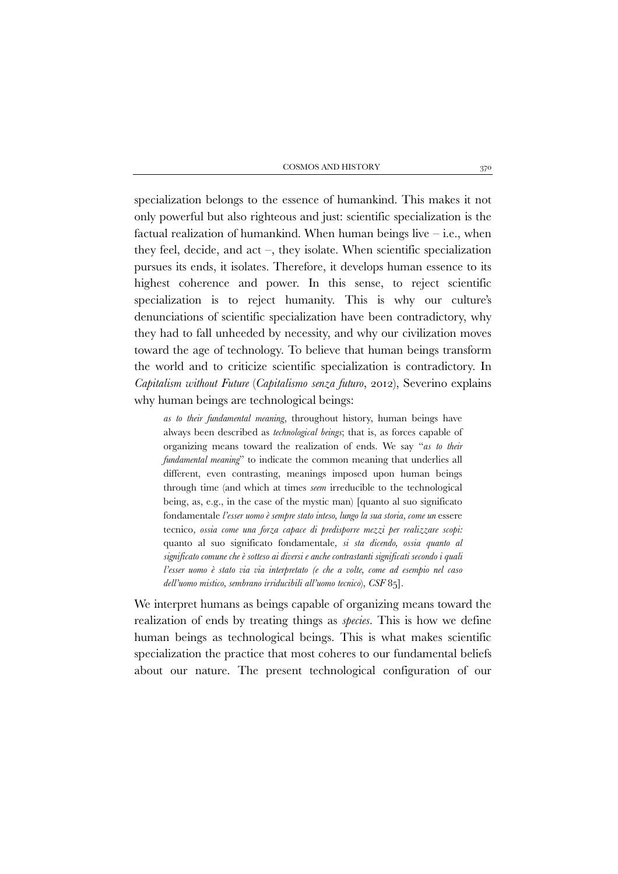specialization belongs to the essence of humankind. This makes it not only powerful but also righteous and just: scientific specialization is the factual realization of humankind. When human beings live  $-$  i.e., when they feel, decide, and act –, they isolate. When scientific specialization pursues its ends, it isolates. Therefore, it develops human essence to its highest coherence and power. In this sense, to reject scientific specialization is to reject humanity. This is why our culture's denunciations of scientific specialization have been contradictory, why they had to fall unheeded by necessity, and why our civilization moves toward the age of technology. To believe that human beings transform the world and to criticize scientific specialization is contradictory. In *Capitalism without Future* (*Capitalismo senza futuro*, 2012), Severino explains why human beings are technological beings:

*as to their fundamental meaning*, throughout history, human beings have always been described as *technological beings*; that is, as forces capable of organizing means toward the realization of ends. We say "*as to their fundamental meaning*" to indicate the common meaning that underlies all different, even contrasting, meanings imposed upon human beings through time (and which at times *seem* irreducible to the technological being, as, e.g., in the case of the mystic man) [quanto al suo significato fondamentale *l'esser uomo è sempre stato inteso, lungo la sua storia, come un* essere tecnico*, ossia come una forza capace di predisporre mezzi per realizzare scopi:*  quanto al suo significato fondamentale*, si sta dicendo, ossia quanto al significato comune che è sotteso ai diversi e anche contrastanti significati secondo i quali l'esser uomo è stato via via interpretato (e che a volte, come ad esempio nel caso dell'uomo mistico, sembrano irriducibili all'uomo tecnico*), *CSF* 85].

We interpret humans as beings capable of organizing means toward the realization of ends by treating things as *species*. This is how we define human beings as technological beings. This is what makes scientific specialization the practice that most coheres to our fundamental beliefs about our nature. The present technological configuration of our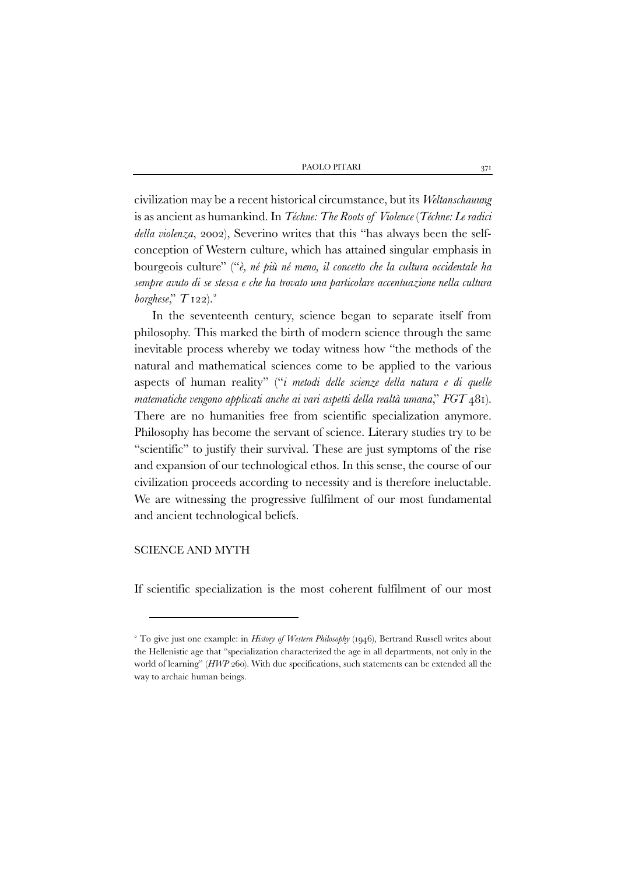civilization may be a recent historical circumstance, but its *Weltanschauung* is as ancient as humankind. In *Téchne: The Roots of Violence* (*Téchne: Le radici della violenza*, 2002), Severino writes that this "has always been the selfconception of Western culture, which has attained singular emphasis in bourgeois culture" ("*è, né più né meno, il concetto che la cultura occidentale ha sempre avuto di se stessa e che ha trovato una particolare accentuazione nella cultura borghese*," *T* 1[2](#page-5-0)2).<sup>2</sup>

In the seventeenth century, science began to separate itself from philosophy. This marked the birth of modern science through the same inevitable process whereby we today witness how "the methods of the natural and mathematical sciences come to be applied to the various aspects of human reality" ("*i metodi delle scienze della natura e di quelle matematiche vengono applicati anche ai vari aspetti della realtà umana*," *FGT* 481). There are no humanities free from scientific specialization anymore. Philosophy has become the servant of science. Literary studies try to be "scientific" to justify their survival. These are just symptoms of the rise and expansion of our technological ethos. In this sense, the course of our civilization proceeds according to necessity and is therefore ineluctable. We are witnessing the progressive fulfilment of our most fundamental and ancient technological beliefs.

# SCIENCE AND MYTH

If scientific specialization is the most coherent fulfilment of our most

<span id="page-5-0"></span><sup>&</sup>lt;sup>2</sup> To give just one example: in *History of Western Philosophy* (1946), Bertrand Russell writes about the Hellenistic age that "specialization characterized the age in all departments, not only in the world of learning" (*HWP* 260). With due specifications, such statements can be extended all the way to archaic human beings.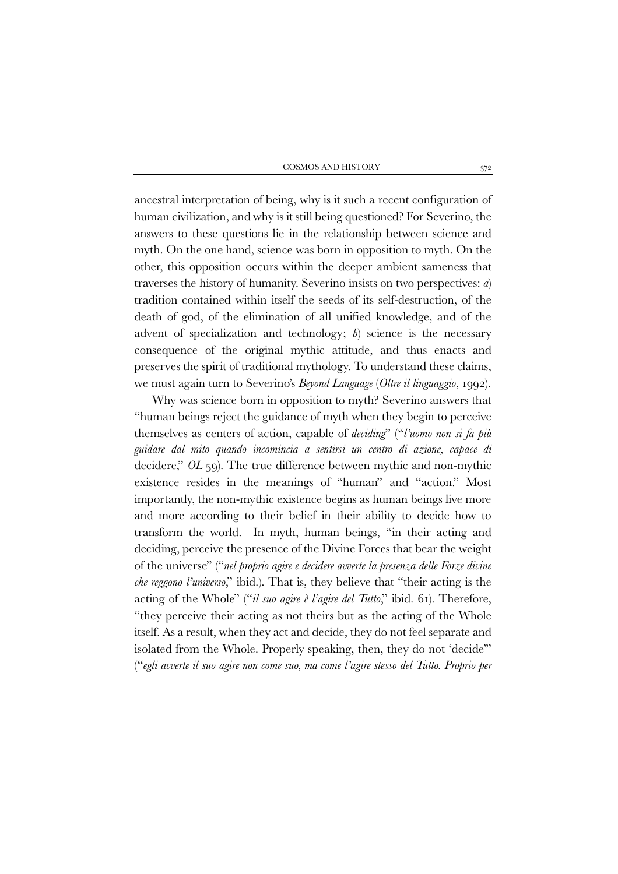ancestral interpretation of being, why is it such a recent configuration of human civilization, and why is it still being questioned? For Severino, the answers to these questions lie in the relationship between science and myth. On the one hand, science was born in opposition to myth. On the other, this opposition occurs within the deeper ambient sameness that traverses the history of humanity. Severino insists on two perspectives: *a*) tradition contained within itself the seeds of its self-destruction, of the death of god, of the elimination of all unified knowledge, and of the advent of specialization and technology; *b*) science is the necessary consequence of the original mythic attitude, and thus enacts and preserves the spirit of traditional mythology. To understand these claims, we must again turn to Severino's *Beyond Language* (*Oltre il linguaggio*, 1992).

Why was science born in opposition to myth? Severino answers that "human beings reject the guidance of myth when they begin to perceive themselves as centers of action, capable of *deciding*" ("*l'uomo non si fa più guidare dal mito quando incomincia a sentirsi un centro di azione, capace di* decidere," *OL* 59). The true difference between mythic and non-mythic existence resides in the meanings of "human" and "action." Most importantly, the non-mythic existence begins as human beings live more and more according to their belief in their ability to decide how to transform the world. In myth, human beings, "in their acting and deciding, perceive the presence of the Divine Forces that bear the weight of the universe" ("*nel proprio agire e decidere avverte la presenza delle Forze divine che reggono l'universo*," ibid.). That is, they believe that "their acting is the acting of the Whole" ("*il suo agire è l'agire del Tutto*," ibid. 61). Therefore, "they perceive their acting as not theirs but as the acting of the Whole itself. As a result, when they act and decide, they do not feel separate and isolated from the Whole. Properly speaking, then, they do not 'decide'" ("*egli avverte il suo agire non come suo, ma come l'agire stesso del Tutto. Proprio per*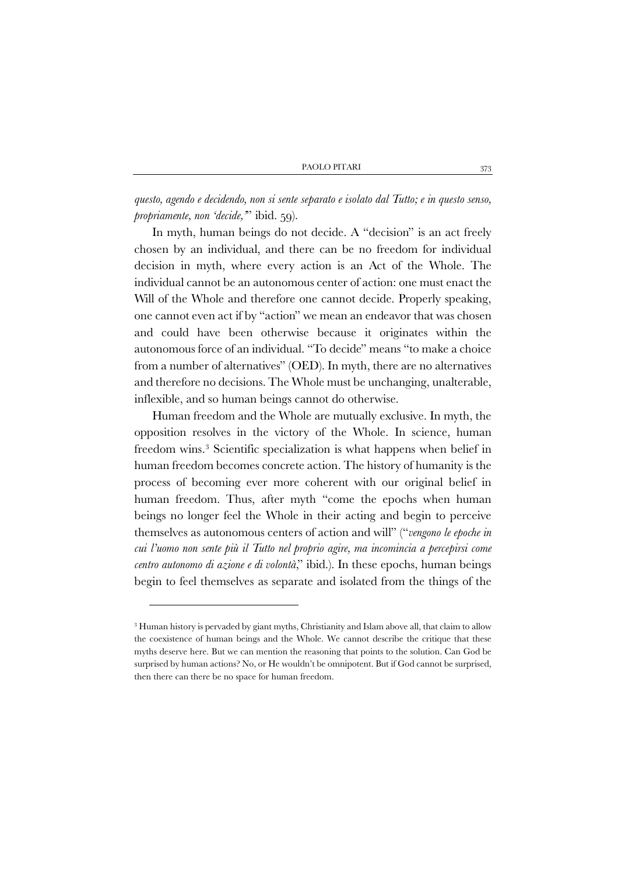*questo, agendo e decidendo, non si sente separato e isolato dal Tutto; e in questo senso, propriamente, non 'decide,'*" ibid. 59).

In myth, human beings do not decide. A "decision" is an act freely chosen by an individual, and there can be no freedom for individual decision in myth, where every action is an Act of the Whole. The individual cannot be an autonomous center of action: one must enact the Will of the Whole and therefore one cannot decide. Properly speaking, one cannot even act if by "action" we mean an endeavor that was chosen and could have been otherwise because it originates within the autonomous force of an individual. "To decide" means "to make a choice from a number of alternatives" (OED). In myth, there are no alternatives and therefore no decisions. The Whole must be unchanging, unalterable, inflexible, and so human beings cannot do otherwise.

Human freedom and the Whole are mutually exclusive. In myth, the opposition resolves in the victory of the Whole. In science, human freedom wins.[3](#page-7-0) Scientific specialization is what happens when belief in human freedom becomes concrete action. The history of humanity is the process of becoming ever more coherent with our original belief in human freedom. Thus, after myth "come the epochs when human beings no longer feel the Whole in their acting and begin to perceive themselves as autonomous centers of action and will" ("*vengono le epoche in cui l'uomo non sente più il Tutto nel proprio agire, ma incomincia a percepirsi come centro autonomo di azione e di volontà*," ibid.). In these epochs, human beings begin to feel themselves as separate and isolated from the things of the

<span id="page-7-0"></span><sup>3</sup> Human history is pervaded by giant myths, Christianity and Islam above all, that claim to allow the coexistence of human beings and the Whole. We cannot describe the critique that these myths deserve here. But we can mention the reasoning that points to the solution. Can God be surprised by human actions? No, or He wouldn't be omnipotent. But if God cannot be surprised, then there can there be no space for human freedom.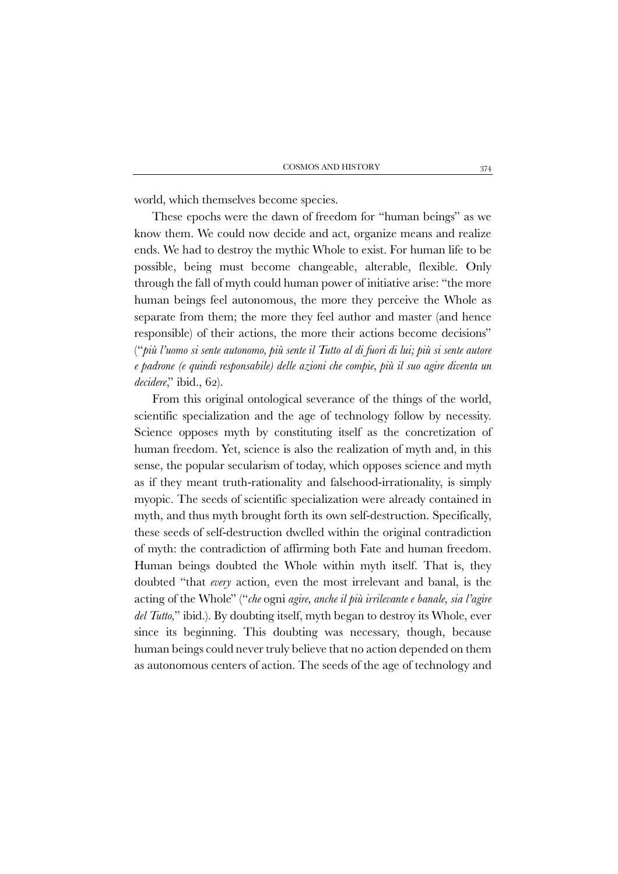world, which themselves become species.

These epochs were the dawn of freedom for "human beings" as we know them. We could now decide and act, organize means and realize ends. We had to destroy the mythic Whole to exist. For human life to be possible, being must become changeable, alterable, flexible. Only through the fall of myth could human power of initiative arise: "the more human beings feel autonomous, the more they perceive the Whole as separate from them; the more they feel author and master (and hence responsible) of their actions, the more their actions become decisions" ("*più l'uomo si sente autonomo, più sente il Tutto al di fuori di lui; più si sente autore e padrone (e quindi responsabile) delle azioni che compie, più il suo agire diventa un decidere*," ibid., 62).

From this original ontological severance of the things of the world, scientific specialization and the age of technology follow by necessity. Science opposes myth by constituting itself as the concretization of human freedom. Yet, science is also the realization of myth and, in this sense, the popular secularism of today, which opposes science and myth as if they meant truth-rationality and falsehood-irrationality, is simply myopic. The seeds of scientific specialization were already contained in myth, and thus myth brought forth its own self-destruction. Specifically, these seeds of self-destruction dwelled within the original contradiction of myth: the contradiction of affirming both Fate and human freedom. Human beings doubted the Whole within myth itself. That is, they doubted "that *every* action, even the most irrelevant and banal, is the acting of the Whole" ("*che* ogni *agire, anche il più irrilevante e banale, sia l'agire del Tutto,*" ibid.). By doubting itself, myth began to destroy its Whole, ever since its beginning. This doubting was necessary, though, because human beings could never truly believe that no action depended on them as autonomous centers of action. The seeds of the age of technology and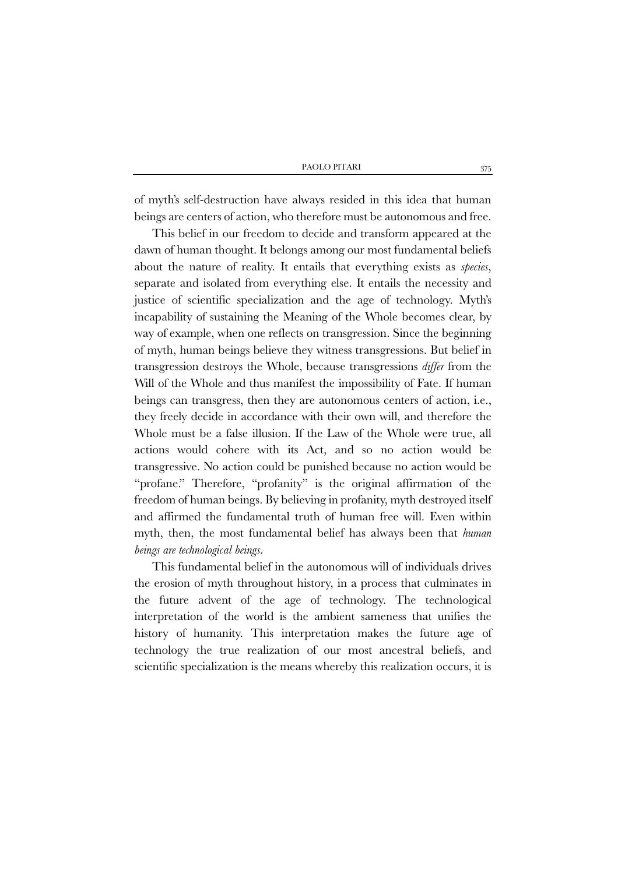of myth's self-destruction have always resided in this idea that human beings are centers of action, who therefore must be autonomous and free.

This belief in our freedom to decide and transform appeared at the dawn of human thought. It belongs among our most fundamental beliefs about the nature of reality. It entails that everything exists as *species*, separate and isolated from everything else. It entails the necessity and justice of scientific specialization and the age of technology. Myth's incapability of sustaining the Meaning of the Whole becomes clear, by way of example, when one reflects on transgression. Since the beginning of myth, human beings believe they witness transgressions. But belief in transgression destroys the Whole, because transgressions *differ* from the Will of the Whole and thus manifest the impossibility of Fate. If human beings can transgress, then they are autonomous centers of action, i.e., they freely decide in accordance with their own will, and therefore the Whole must be a false illusion. If the Law of the Whole were true, all actions would cohere with its Act, and so no action would be transgressive. No action could be punished because no action would be "profane." Therefore, "profanity" is the original affirmation of the freedom of human beings. By believing in profanity, myth destroyed itself and affirmed the fundamental truth of human free will. Even within myth, then, the most fundamental belief has always been that *human beings are technological beings*.

This fundamental belief in the autonomous will of individuals drives the erosion of myth throughout history, in a process that culminates in the future advent of the age of technology. The technological interpretation of the world is the ambient sameness that unifies the history of humanity. This interpretation makes the future age of technology the true realization of our most ancestral beliefs, and scientific specialization is the means whereby this realization occurs, it is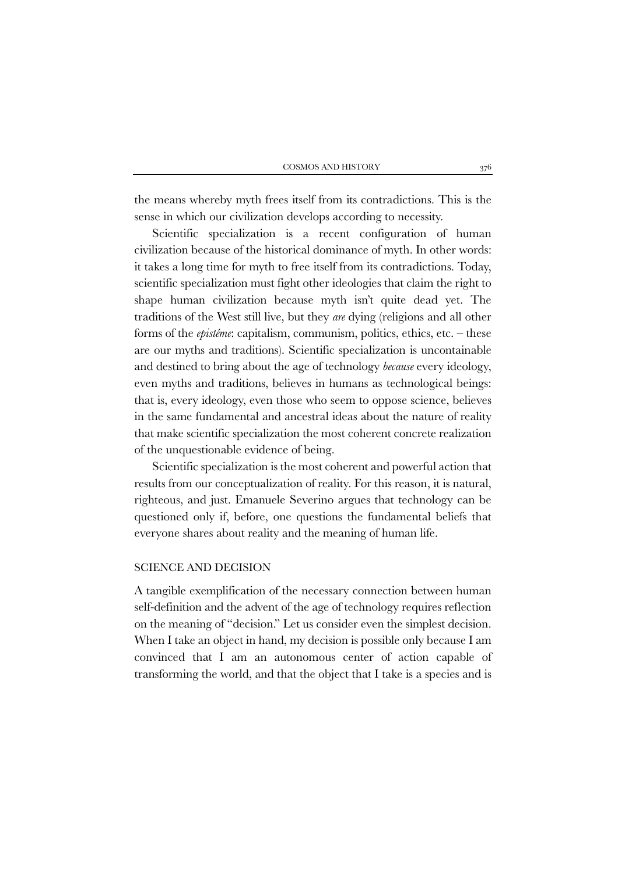the means whereby myth frees itself from its contradictions. This is the sense in which our civilization develops according to necessity.

Scientific specialization is a recent configuration of human civilization because of the historical dominance of myth. In other words: it takes a long time for myth to free itself from its contradictions. Today, scientific specialization must fight other ideologies that claim the right to shape human civilization because myth isn't quite dead yet. The traditions of the West still live, but they *are* dying (religions and all other forms of the *epistéme*: capitalism, communism, politics, ethics, etc. – these are our myths and traditions). Scientific specialization is uncontainable and destined to bring about the age of technology *because* every ideology, even myths and traditions, believes in humans as technological beings: that is, every ideology, even those who seem to oppose science, believes in the same fundamental and ancestral ideas about the nature of reality that make scientific specialization the most coherent concrete realization of the unquestionable evidence of being.

Scientific specialization is the most coherent and powerful action that results from our conceptualization of reality. For this reason, it is natural, righteous, and just. Emanuele Severino argues that technology can be questioned only if, before, one questions the fundamental beliefs that everyone shares about reality and the meaning of human life.

#### SCIENCE AND DECISION

A tangible exemplification of the necessary connection between human self-definition and the advent of the age of technology requires reflection on the meaning of "decision." Let us consider even the simplest decision. When I take an object in hand, my decision is possible only because I am convinced that I am an autonomous center of action capable of transforming the world, and that the object that I take is a species and is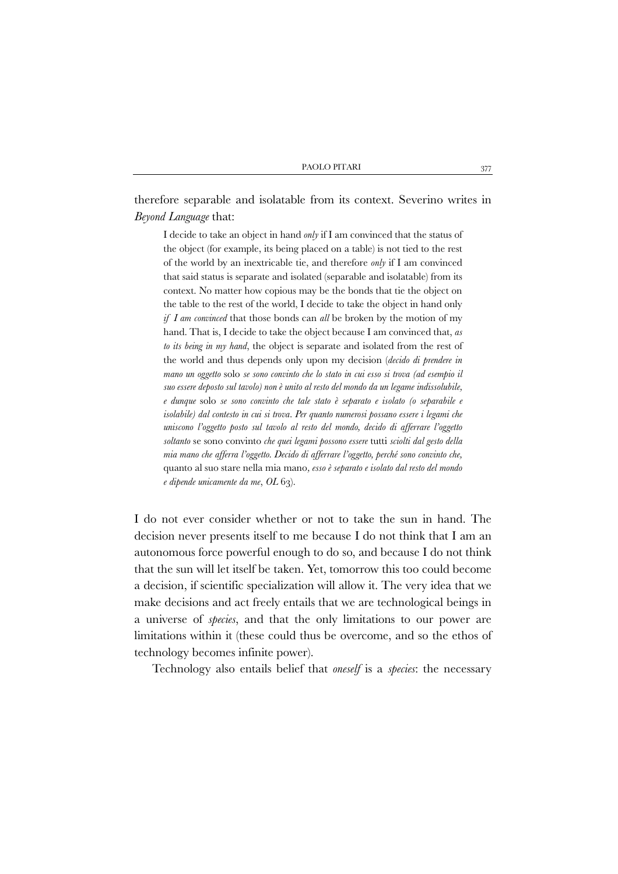therefore separable and isolatable from its context. Severino writes in *Beyond Language* that:

I decide to take an object in hand *only* if I am convinced that the status of the object (for example, its being placed on a table) is not tied to the rest of the world by an inextricable tie, and therefore *only* if I am convinced that said status is separate and isolated (separable and isolatable) from its context. No matter how copious may be the bonds that tie the object on the table to the rest of the world, I decide to take the object in hand only *if I am convinced* that those bonds can *all* be broken by the motion of my hand. That is, I decide to take the object because I am convinced that, *as to its being in my hand*, the object is separate and isolated from the rest of the world and thus depends only upon my decision (*decido di prendere in mano un oggetto* solo *se sono convinto che lo stato in cui esso si trova (ad esempio il suo essere deposto sul tavolo) non è unito al resto del mondo da un legame indissolubile, e dunque* solo *se sono convinto che tale stato è separato e isolato (o separabile e isolabile) dal contesto in cui si trova. Per quanto numerosi possano essere i legami che uniscono l'oggetto posto sul tavolo al resto del mondo, decido di afferrare l'oggetto soltanto* se sono convinto *che quei legami possono essere* tutti *sciolti dal gesto della mia mano che afferra l'oggetto. Decido di afferrare l'oggetto, perché sono convinto che,*  quanto al suo stare nella mia mano*, esso è separato e isolato dal resto del mondo e dipende unicamente da me*, *OL* 63).

I do not ever consider whether or not to take the sun in hand. The decision never presents itself to me because I do not think that I am an autonomous force powerful enough to do so, and because I do not think that the sun will let itself be taken. Yet, tomorrow this too could become a decision, if scientific specialization will allow it. The very idea that we make decisions and act freely entails that we are technological beings in a universe of *species*, and that the only limitations to our power are limitations within it (these could thus be overcome, and so the ethos of technology becomes infinite power).

Technology also entails belief that *oneself* is a *species*: the necessary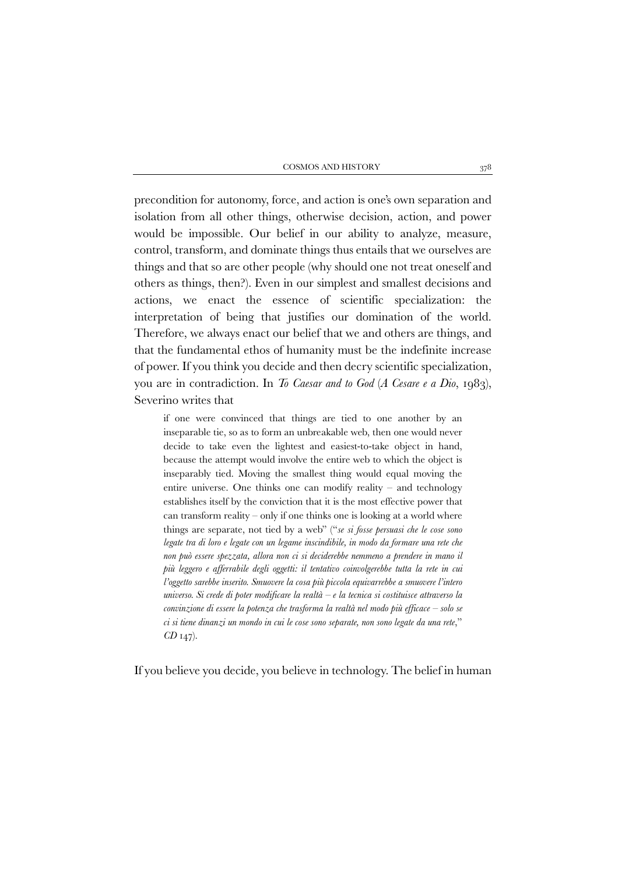precondition for autonomy, force, and action is one's own separation and isolation from all other things, otherwise decision, action, and power would be impossible. Our belief in our ability to analyze, measure, control, transform, and dominate things thus entails that we ourselves are things and that so are other people (why should one not treat oneself and others as things, then?). Even in our simplest and smallest decisions and actions, we enact the essence of scientific specialization: the interpretation of being that justifies our domination of the world. Therefore, we always enact our belief that we and others are things, and that the fundamental ethos of humanity must be the indefinite increase of power. If you think you decide and then decry scientific specialization, you are in contradiction. In *To Caesar and to God* (*A Cesare e a Dio*, 1983), Severino writes that

if one were convinced that things are tied to one another by an inseparable tie, so as to form an unbreakable web, then one would never decide to take even the lightest and easiest-to-take object in hand, because the attempt would involve the entire web to which the object is inseparably tied. Moving the smallest thing would equal moving the entire universe. One thinks one can modify reality – and technology establishes itself by the conviction that it is the most effective power that can transform reality – only if one thinks one is looking at a world where things are separate, not tied by a web" ("*se si fosse persuasi che le cose sono legate tra di loro e legate con un legame inscindibile, in modo da formare una rete che non può essere spezzata, allora non ci si deciderebbe nemmeno a prendere in mano il più leggero e afferrabile degli oggetti: il tentativo coinvolgerebbe tutta la rete in cui l'oggetto sarebbe inserito. Smuovere la cosa più piccola equivarrebbe a smuovere l'intero universo. Si crede di poter modificare la realtà – e la tecnica si costituisce attraverso la convinzione di essere la potenza che trasforma la realtà nel modo più efficace – solo se ci si tiene dinanzi un mondo in cui le cose sono separate, non sono legate da una rete*," *CD* 147).

If you believe you decide, you believe in technology. The belief in human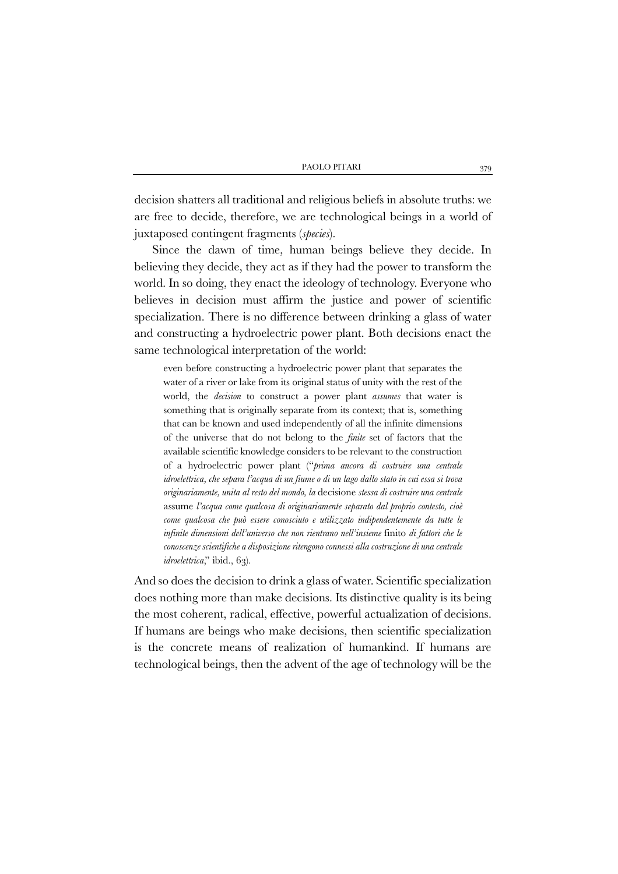decision shatters all traditional and religious beliefs in absolute truths: we are free to decide, therefore, we are technological beings in a world of juxtaposed contingent fragments (*species*).

Since the dawn of time, human beings believe they decide. In believing they decide, they act as if they had the power to transform the world. In so doing, they enact the ideology of technology. Everyone who believes in decision must affirm the justice and power of scientific specialization. There is no difference between drinking a glass of water and constructing a hydroelectric power plant. Both decisions enact the same technological interpretation of the world:

even before constructing a hydroelectric power plant that separates the water of a river or lake from its original status of unity with the rest of the world, the *decision* to construct a power plant *assumes* that water is something that is originally separate from its context; that is, something that can be known and used independently of all the infinite dimensions of the universe that do not belong to the *finite* set of factors that the available scientific knowledge considers to be relevant to the construction of a hydroelectric power plant ("*prima ancora di costruire una centrale idroelettrica, che separa l'acqua di un fiume o di un lago dallo stato in cui essa si trova originariamente, unita al resto del mondo, la* decisione *stessa di costruire una centrale* assume *l'acqua come qualcosa di originariamente separato dal proprio contesto, cioè come qualcosa che può essere conosciuto e utilizzato indipendentemente da tutte le infinite dimensioni dell'universo che non rientrano nell'insieme* finito *di fattori che le conoscenze scientifiche a disposizione ritengono connessi alla costruzione di una centrale*  idroelettrica," ibid., 63).

And so does the decision to drink a glass of water. Scientific specialization does nothing more than make decisions. Its distinctive quality is its being the most coherent, radical, effective, powerful actualization of decisions. If humans are beings who make decisions, then scientific specialization is the concrete means of realization of humankind. If humans are technological beings, then the advent of the age of technology will be the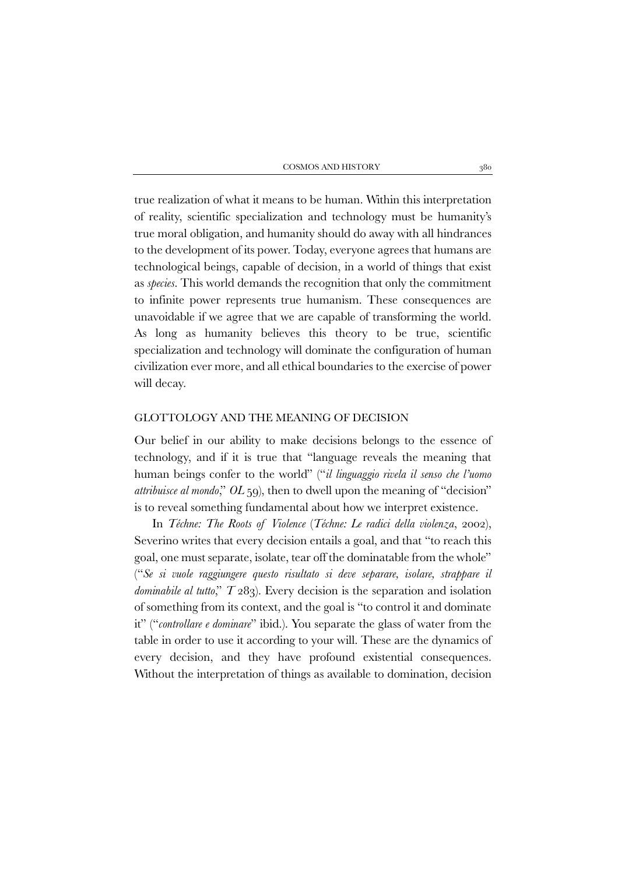true realization of what it means to be human. Within this interpretation of reality, scientific specialization and technology must be humanity's true moral obligation, and humanity should do away with all hindrances to the development of its power. Today, everyone agrees that humans are technological beings, capable of decision, in a world of things that exist as *species*. This world demands the recognition that only the commitment to infinite power represents true humanism. These consequences are unavoidable if we agree that we are capable of transforming the world. As long as humanity believes this theory to be true, scientific specialization and technology will dominate the configuration of human civilization ever more, and all ethical boundaries to the exercise of power will decay.

### GLOTTOLOGY AND THE MEANING OF DECISION

Our belief in our ability to make decisions belongs to the essence of technology, and if it is true that "language reveals the meaning that human beings confer to the world" ("*il linguaggio rivela il senso che l'uomo attribuisce al mondo*," *OL* 59), then to dwell upon the meaning of "decision" is to reveal something fundamental about how we interpret existence.

In *Téchne: The Roots of Violence* (*Téchne: Le radici della violenza*, 2002), Severino writes that every decision entails a goal, and that "to reach this goal, one must separate, isolate, tear off the dominatable from the whole" ("*Se si vuole raggiungere questo risultato si deve separare, isolare, strappare il dominabile al tutto*," *T* 283). Every decision is the separation and isolation of something from its context, and the goal is "to control it and dominate it" ("*controllare e dominare*" ibid.). You separate the glass of water from the table in order to use it according to your will. These are the dynamics of every decision, and they have profound existential consequences. Without the interpretation of things as available to domination, decision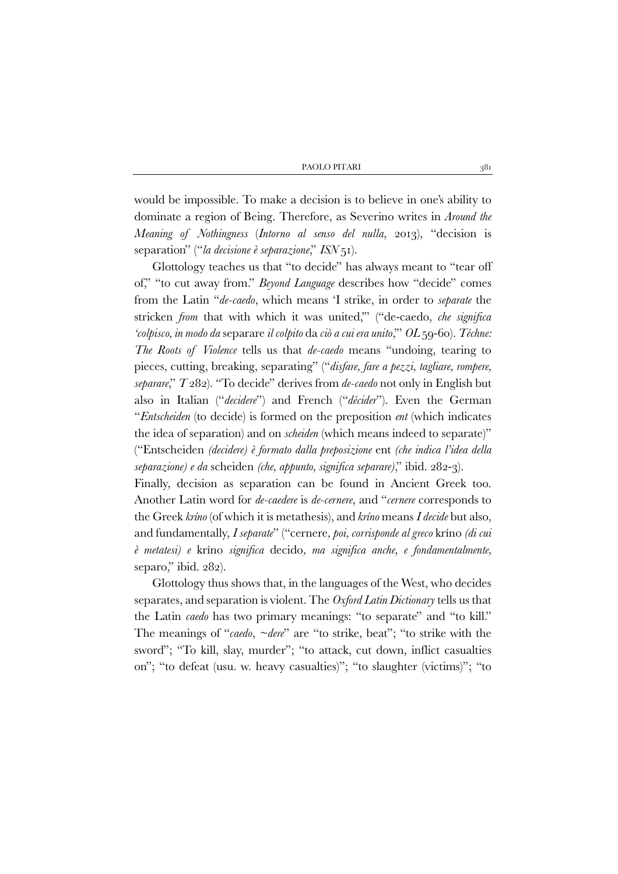would be impossible. To make a decision is to believe in one's ability to dominate a region of Being. Therefore, as Severino writes in *Around the Meaning of Nothingness* (*Intorno al senso del nulla*, 2013), "decision is separation" ("*la decisione è separazione*," *ISN* 51).

Glottology teaches us that "to decide" has always meant to "tear off of," "to cut away from." *Beyond Language* describes how "decide" comes from the Latin "*de-caedo*, which means 'I strike, in order to *separate* the stricken *from* that with which it was united,'" ("de-caedo, *che significa 'colpisco, in modo da* separare *il colpito* da *ciò a cui era unito*,'" *OL* 59-60). *Téchne: The Roots of Violence* tells us that *de-caedo* means "undoing, tearing to pieces, cutting, breaking, separating" ("*disfare, fare a pezzi, tagliare, rompere, separare*," *T* 282). "To decide" derives from *de-caedo* not only in English but also in Italian ("*decidere*") and French ("*décider*"). Even the German "*Entscheiden* (to decide) is formed on the preposition *ent* (which indicates the idea of separation) and on *scheiden* (which means indeed to separate)" ("Entscheiden *(decidere) è formato dalla preposizione* ent *(che indica l'idea della separazione) e da* scheiden *(che, appunto, significa separare)*," ibid. 282-3).

Finally, decision as separation can be found in Ancient Greek too. Another Latin word for *de-caedere* is *de-cernere*, and "*cernere* corresponds to the Greek *kríno* (of which it is metathesis), and *kríno* means *I decide* but also, and fundamentally, *I separate*" ("cernere*, poi, corrisponde al greco* kríno *(di cui è metatesi) e* kríno *significa* decido*, ma significa anche, e fondamentalmente,*  separo," ibid. 282).

Glottology thus shows that, in the languages of the West, who decides separates, and separation is violent. The *Oxford Latin Dictionary* tells us that the Latin *caedo* has two primary meanings: "to separate" and "to kill." The meanings of "*caedo*, *~dere*" are "to strike, beat"; "to strike with the sword"; "To kill, slay, murder"; "to attack, cut down, inflict casualties on"; "to defeat (usu. w. heavy casualties)"; "to slaughter (victims)"; "to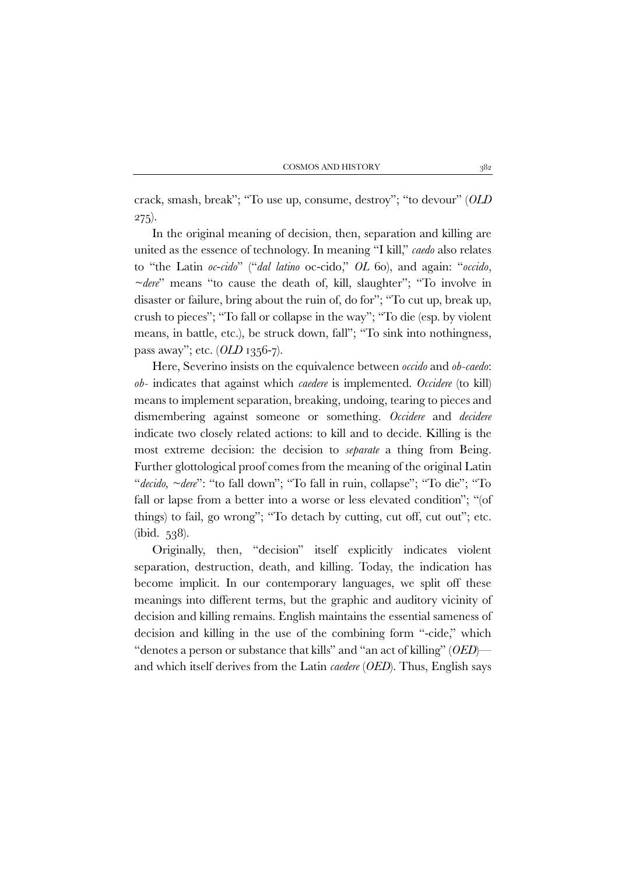crack, smash, break"; "To use up, consume, destroy"; "to devour" (*OLD*   $275$ ).

In the original meaning of decision, then, separation and killing are united as the essence of technology. In meaning "I kill," *caedo* also relates to "the Latin *oc*-*cido*" ("*dal latino* oc-cido," *OL* 60), and again: "*occido*, *~dere*" means "to cause the death of, kill, slaughter"; "To involve in disaster or failure, bring about the ruin of, do for"; "To cut up, break up, crush to pieces"; "To fall or collapse in the way"; "To die (esp. by violent means, in battle, etc.), be struck down, fall"; "To sink into nothingness, pass away"; etc. (*OLD* 1356-7).

Here, Severino insists on the equivalence between *occido* and *ob-caedo*: *ob-* indicates that against which *caedere* is implemented. *Occidere* (to kill) means to implement separation, breaking, undoing, tearing to pieces and dismembering against someone or something. *Occidere* and *decidere* indicate two closely related actions: to kill and to decide. Killing is the most extreme decision: the decision to *separate* a thing from Being. Further glottological proof comes from the meaning of the original Latin "*decido, ~dere*": "to fall down"; "To fall in ruin, collapse"; "To die"; "To fall or lapse from a better into a worse or less elevated condition"; "(of things) to fail, go wrong"; "To detach by cutting, cut off, cut out"; etc. (ibid. 538).

Originally, then, "decision" itself explicitly indicates violent separation, destruction, death, and killing. Today, the indication has become implicit. In our contemporary languages, we split off these meanings into different terms, but the graphic and auditory vicinity of decision and killing remains. English maintains the essential sameness of decision and killing in the use of the combining form "-cide," which "denotes a person or substance that kills" and "an act of killing" (*OED*) and which itself derives from the Latin *caedere* (*OED*). Thus, English says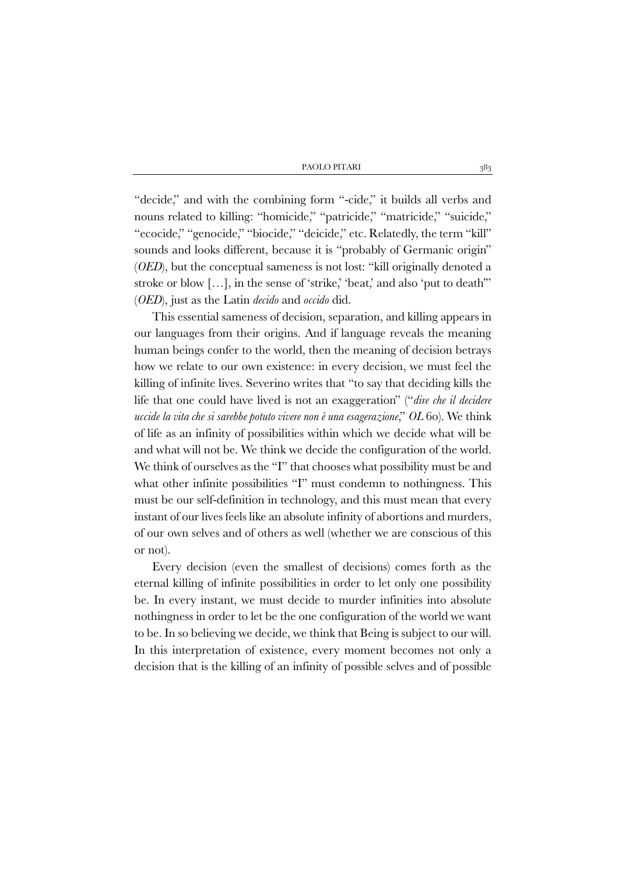"decide," and with the combining form "-cide," it builds all verbs and nouns related to killing: "homicide," "patricide," "matricide," "suicide," "ecocide," "genocide," "biocide," "deicide," etc. Relatedly, the term "kill" sounds and looks different, because it is "probably of Germanic origin" (*OED*), but the conceptual sameness is not lost: "kill originally denoted a stroke or blow [...], in the sense of 'strike,' 'beat,' and also 'put to death'' (*OED*), just as the Latin *decido* and *occido* did.

This essential sameness of decision, separation, and killing appears in our languages from their origins. And if language reveals the meaning human beings confer to the world, then the meaning of decision betrays how we relate to our own existence: in every decision, we must feel the killing of infinite lives. Severino writes that "to say that deciding kills the life that one could have lived is not an exaggeration" ("*dire che il decidere uccide la vita che si sarebbe potuto vivere non è una esagerazione*," *OL* 60). We think of life as an infinity of possibilities within which we decide what will be and what will not be. We think we decide the configuration of the world. We think of ourselves as the "I" that chooses what possibility must be and what other infinite possibilities "I" must condemn to nothingness. This must be our self-definition in technology, and this must mean that every instant of our lives feels like an absolute infinity of abortions and murders, of our own selves and of others as well (whether we are conscious of this or not).

Every decision (even the smallest of decisions) comes forth as the eternal killing of infinite possibilities in order to let only one possibility be. In every instant, we must decide to murder infinities into absolute nothingness in order to let be the one configuration of the world we want to be. In so believing we decide, we think that Being is subject to our will. In this interpretation of existence, every moment becomes not only a decision that is the killing of an infinity of possible selves and of possible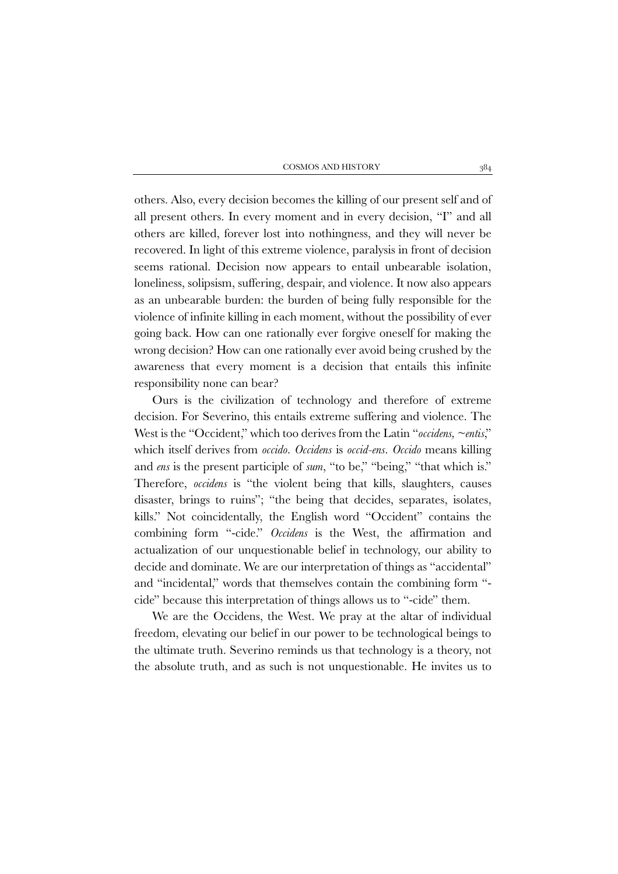others. Also, every decision becomes the killing of our present self and of all present others. In every moment and in every decision, "I" and all others are killed, forever lost into nothingness, and they will never be recovered. In light of this extreme violence, paralysis in front of decision seems rational. Decision now appears to entail unbearable isolation, loneliness, solipsism, suffering, despair, and violence. It now also appears as an unbearable burden: the burden of being fully responsible for the violence of infinite killing in each moment, without the possibility of ever going back. How can one rationally ever forgive oneself for making the wrong decision? How can one rationally ever avoid being crushed by the awareness that every moment is a decision that entails this infinite responsibility none can bear?

Ours is the civilization of technology and therefore of extreme decision. For Severino, this entails extreme suffering and violence. The West is the "Occident," which too derives from the Latin "*occidens, ~entis*," which itself derives from *occido*. *Occidens* is *occid-ens*. *Occido* means killing and *ens* is the present participle of *sum*, "to be," "being," "that which is." Therefore, *occidens* is "the violent being that kills, slaughters, causes disaster, brings to ruins"; "the being that decides, separates, isolates, kills." Not coincidentally, the English word "Occident" contains the combining form "-cide." *Occidens* is the West, the affirmation and actualization of our unquestionable belief in technology, our ability to decide and dominate. We are our interpretation of things as "accidental" and "incidental," words that themselves contain the combining form " cide" because this interpretation of things allows us to "-cide" them.

We are the Occidens, the West. We pray at the altar of individual freedom, elevating our belief in our power to be technological beings to the ultimate truth. Severino reminds us that technology is a theory, not the absolute truth, and as such is not unquestionable. He invites us to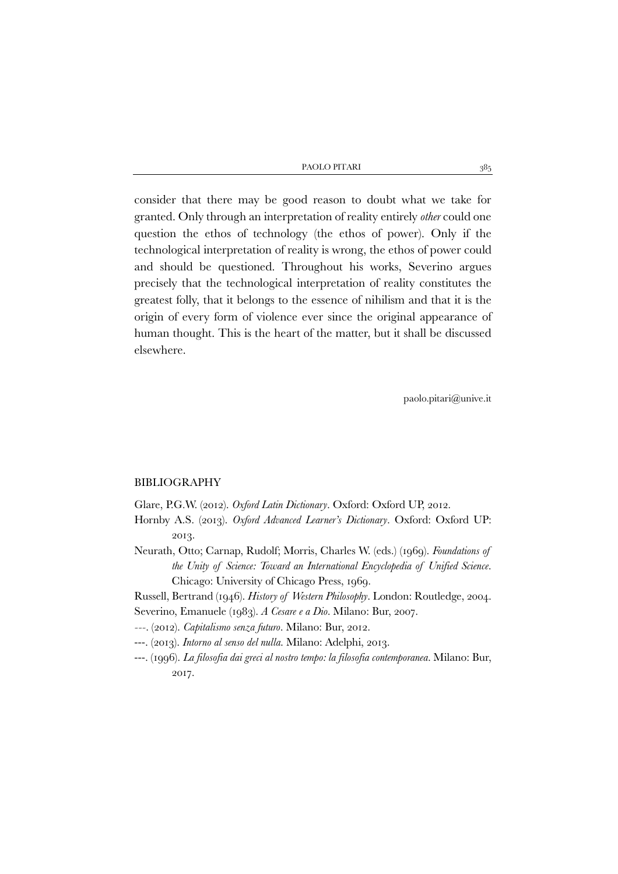| PAOLO PITARI |  |
|--------------|--|
|              |  |

consider that there may be good reason to doubt what we take for granted. Only through an interpretation of reality entirely *other* could one question the ethos of technology (the ethos of power). Only if the technological interpretation of reality is wrong, the ethos of power could and should be questioned. Throughout his works, Severino argues precisely that the technological interpretation of reality constitutes the greatest folly, that it belongs to the essence of nihilism and that it is the origin of every form of violence ever since the original appearance of human thought. This is the heart of the matter, but it shall be discussed elsewhere.

paolo.pitari@unive.it

#### BIBLIOGRAPHY

Glare, P.G.W. (2012). *Oxford Latin Dictionary*. Oxford: Oxford UP, 2012.

- Hornby A.S. (2013). *Oxford Advanced Learner's Dictionary*. Oxford: Oxford UP: 2013.
- Neurath, Otto; Carnap, Rudolf; Morris, Charles W. (eds.) (1969). *Foundations of the Unity of Science: Toward an International Encyclopedia of Unified Science*. Chicago: University of Chicago Press, 1969.
- Russell, Bertrand (1946). *History of Western Philosophy*. London: Routledge, 2004. Severino, Emanuele (1983). *A Cesare e a Dio*. Milano: Bur, 2007.
- *---.* (2012). *Capitalismo senza futuro*. Milano: Bur, 2012.
- ---. (2013). *Intorno al senso del nulla*. Milano: Adelphi, 2013.
- ---. (1996). *La filosofia dai greci al nostro tempo: la filosofia contemporanea*. Milano: Bur, 2017.